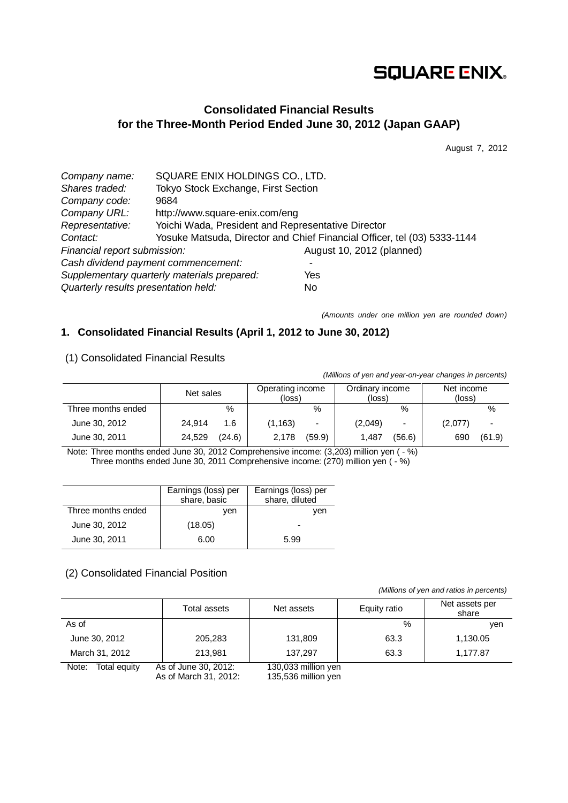# **SQUARE ENIX.**

## **Consolidated Financial Results for the Three-Month Period Ended June 30, 2012 (Japan GAAP)**

August 7, 2012

| Company name:                        | SQUARE ENIX HOLDINGS CO., LTD.                     |                                                                          |  |  |  |
|--------------------------------------|----------------------------------------------------|--------------------------------------------------------------------------|--|--|--|
| Shares traded:                       | Tokyo Stock Exchange, First Section                |                                                                          |  |  |  |
| Company code:                        | 9684                                               |                                                                          |  |  |  |
| Company URL:                         | http://www.square-enix.com/eng                     |                                                                          |  |  |  |
| Representative:                      | Yoichi Wada, President and Representative Director |                                                                          |  |  |  |
| Contact:                             |                                                    | Yosuke Matsuda, Director and Chief Financial Officer, tel (03) 5333-1144 |  |  |  |
| Financial report submission:         |                                                    | August 10, 2012 (planned)                                                |  |  |  |
|                                      | Cash dividend payment commencement:                |                                                                          |  |  |  |
|                                      | Supplementary quarterly materials prepared:        | Yes                                                                      |  |  |  |
| Quarterly results presentation held: |                                                    | No                                                                       |  |  |  |

*(Amounts under one million yen are rounded down)*

## **1. Consolidated Financial Results (April 1, 2012 to June 30, 2012)**

## (1) Consolidated Financial Results

*(Millions of yen and year-on-year changes in percents)*

|                    | Net sales |        | Operating income<br>(loss) |                          | Ordinary income<br>(loss) |        | Net income<br>(loss) |                          |
|--------------------|-----------|--------|----------------------------|--------------------------|---------------------------|--------|----------------------|--------------------------|
| Three months ended |           | %      |                            | %                        |                           | %      |                      | %                        |
| June 30, 2012      | 24.914    | 1.6    | (1, 163)                   | $\overline{\phantom{0}}$ | (2,049)                   | -      | (2,077)              | $\overline{\phantom{0}}$ |
| June 30, 2011      | 24.529    | (24.6) | 2.178                      | (59.9)                   | 1,487                     | (56.6) | 690                  | (61.9)                   |

Note: Three months ended June 30, 2012 Comprehensive income: (3,203) million yen ( - %) Three months ended June 30, 2011 Comprehensive income: (270) million yen ( - %)

|                    | Earnings (loss) per<br>share, basic | Earnings (loss) per<br>share, diluted |
|--------------------|-------------------------------------|---------------------------------------|
| Three months ended | ven                                 | ven                                   |
| June 30, 2012      | (18.05)                             |                                       |
| June 30, 2011      | 6.00                                | 5.99                                  |

## (2) Consolidated Financial Position

*(Millions of yen and ratios in percents)*

|                       | Total assets                                 | Net assets                        | Equity ratio | Net assets per<br>share |
|-----------------------|----------------------------------------------|-----------------------------------|--------------|-------------------------|
| As of                 |                                              |                                   | %            | ven                     |
| June 30, 2012         | 205,283                                      | 131,809                           | 63.3         | 1,130.05                |
| March 31, 2012        | 213,981                                      | 137.297                           | 63.3         | 1,177.87                |
| Note:<br>Total equity | As of June 30, 2012:<br>$\ddot{\phantom{1}}$ | 130,033 million yen<br>$107 - 50$ |              |                         |

As of March 31, 2012: 135,536 million yen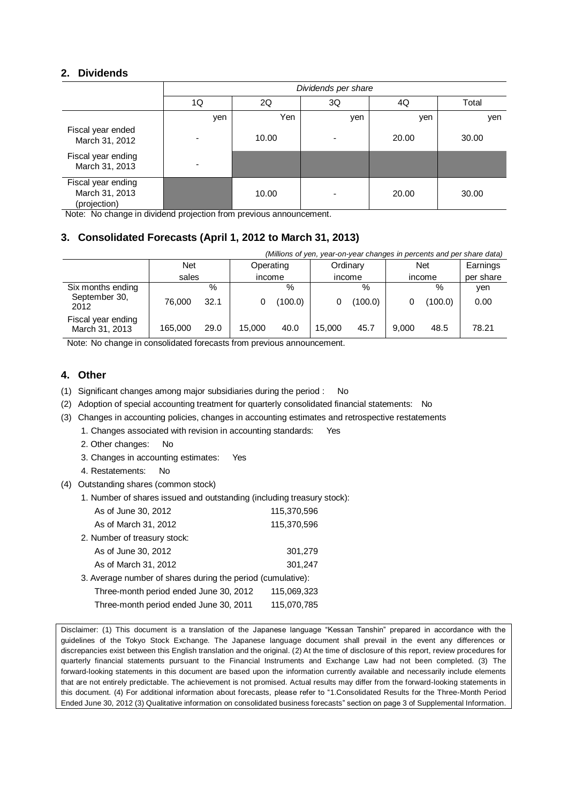### **2. Dividends**

|                                                      | Dividends per share |       |     |       |       |  |  |
|------------------------------------------------------|---------------------|-------|-----|-------|-------|--|--|
|                                                      | 1Q                  | 2Q    | 3Q  | 4Q    | Total |  |  |
|                                                      | yen                 | Yen   | yen | yen   | yen   |  |  |
| Fiscal year ended<br>March 31, 2012                  |                     | 10.00 |     | 20.00 | 30.00 |  |  |
| Fiscal year ending<br>March 31, 2013                 |                     |       |     |       |       |  |  |
| Fiscal year ending<br>March 31, 2013<br>(projection) |                     | 10.00 |     | 20.00 | 30.00 |  |  |

Note: No change in dividend projection from previous announcement.

## **3. Consolidated Forecasts (April 1, 2012 to March 31, 2013)**

| (Millions of yen, year-on-year changes in percents and per share data) |         |      |           |         |          |         |            |         |           |
|------------------------------------------------------------------------|---------|------|-----------|---------|----------|---------|------------|---------|-----------|
|                                                                        | Net     |      | Operating |         | Ordinary |         | <b>Net</b> |         | Earnings  |
|                                                                        | sales   |      | income    |         |          | income  |            | income  | per share |
| Six months ending                                                      |         | $\%$ |           | %       |          | $\%$    |            | %       | ven       |
| September 30,<br>2012                                                  | 76,000  | 32.1 |           | (100.0) |          | (100.0) |            | (100.0) | 0.00      |
| Fiscal year ending<br>March 31, 2013                                   | 165.000 | 29.0 | 15,000    | 40.0    | 15.000   | 45.7    | 9.000      | 48.5    | 78.21     |

Note: No change in consolidated forecasts from previous announcement.

## **4. Other**

- (1) Significant changes among major subsidiaries during the period : No
- (2) Adoption of special accounting treatment for quarterly consolidated financial statements: No
- (3) Changes in accounting policies, changes in accounting estimates and retrospective restatements
	- 1. Changes associated with revision in accounting standards: Yes
		- 2. Other changes: No
		- 3. Changes in accounting estimates: Yes
		- 4. Restatements: No
- (4) Outstanding shares (common stock)
	- 1. Number of shares issued and outstanding (including treasury stock):

| As of June 30, 2012                                         | 115,370,596 |
|-------------------------------------------------------------|-------------|
| As of March 31, 2012                                        | 115,370,596 |
| 2. Number of treasury stock:                                |             |
| As of June 30, 2012                                         | 301,279     |
| As of March 31, 2012                                        | 301,247     |
| 3. Average number of shares during the period (cumulative): |             |
| Three-month period ended June 30, 2012                      | 115,069,323 |
| Three-month period ended June 30, 2011                      | 115,070,785 |

Disclaimer: (1) This document is a translation of the Japanese language "Kessan Tanshin" prepared in accordance with the guidelines of the Tokyo Stock Exchange. The Japanese language document shall prevail in the event any differences or discrepancies exist between this English translation and the original. (2) At the time of disclosure of this report, review procedures for quarterly financial statements pursuant to the Financial Instruments and Exchange Law had not been completed. (3) The forward-looking statements in this document are based upon the information currently available and necessarily include elements that are not entirely predictable. The achievement is not promised. Actual results may differ from the forward-looking statements in this document. (4) For additional information about forecasts, please refer to "1.Consolidated Results for the Three-Month Period Ended June 30, 2012 (3) Qualitative information on consolidated business forecasts" section on page 3 of Supplemental Information.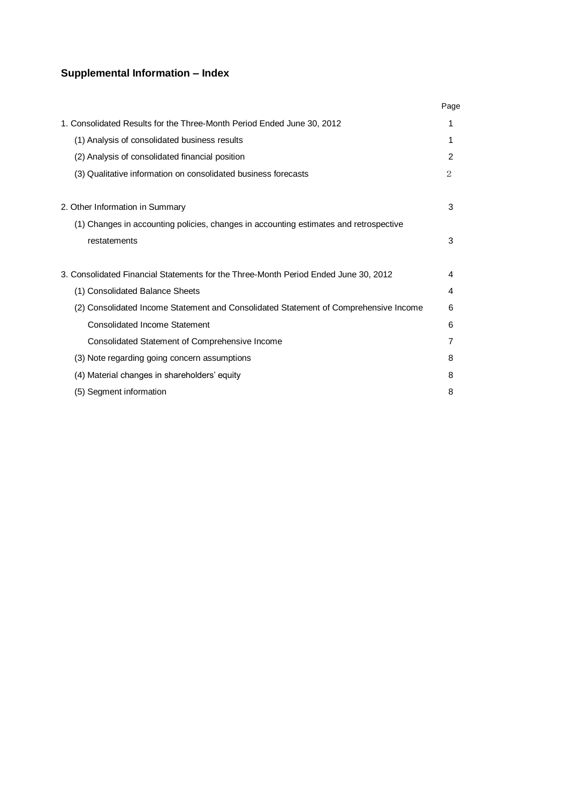## **Supplemental Information – Index**

|                                                                                       | Page |
|---------------------------------------------------------------------------------------|------|
| 1. Consolidated Results for the Three-Month Period Ended June 30, 2012                | 1    |
| (1) Analysis of consolidated business results                                         |      |
| (2) Analysis of consolidated financial position                                       | 2    |
| (3) Qualitative information on consolidated business forecasts                        | 2    |
| 2. Other Information in Summary                                                       | 3    |
| (1) Changes in accounting policies, changes in accounting estimates and retrospective |      |
| restatements                                                                          | 3    |
| 3. Consolidated Financial Statements for the Three-Month Period Ended June 30, 2012   | 4    |
| (1) Consolidated Balance Sheets                                                       | 4    |
| (2) Consolidated Income Statement and Consolidated Statement of Comprehensive Income  | 6    |
| Consolidated Income Statement                                                         | 6    |
| Consolidated Statement of Comprehensive Income                                        | 7    |
| (3) Note regarding going concern assumptions                                          | 8    |
| (4) Material changes in shareholders' equity                                          | 8    |
| (5) Segment information                                                               | 8    |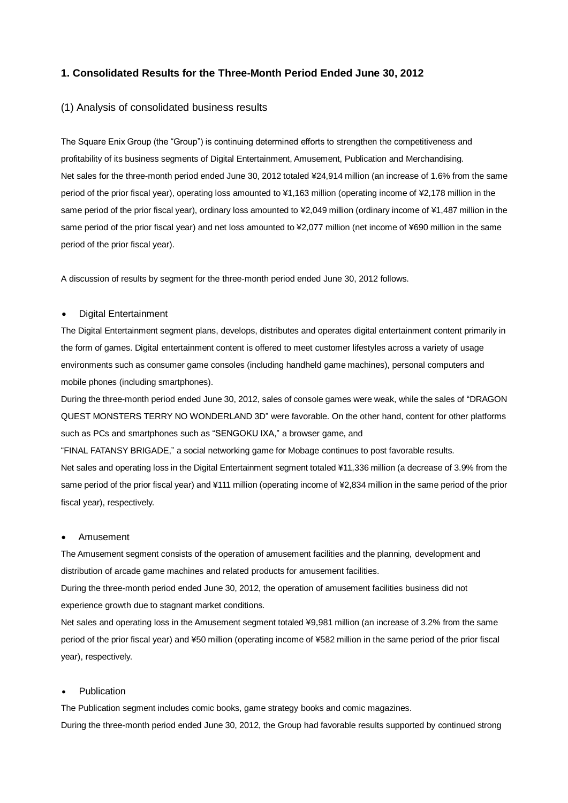### **1. Consolidated Results for the Three-Month Period Ended June 30, 2012**

#### (1) Analysis of consolidated business results

The Square Enix Group (the "Group") is continuing determined efforts to strengthen the competitiveness and profitability of its business segments of Digital Entertainment, Amusement, Publication and Merchandising. Net sales for the three-month period ended June 30, 2012 totaled ¥24,914 million (an increase of 1.6% from the same period of the prior fiscal year), operating loss amounted to ¥1,163 million (operating income of ¥2,178 million in the same period of the prior fiscal year), ordinary loss amounted to ¥2,049 million (ordinary income of ¥1,487 million in the same period of the prior fiscal year) and net loss amounted to ¥2,077 million (net income of ¥690 million in the same period of the prior fiscal year).

A discussion of results by segment for the three-month period ended June 30, 2012 follows.

#### Digital Entertainment

The Digital Entertainment segment plans, develops, distributes and operates digital entertainment content primarily in the form of games. Digital entertainment content is offered to meet customer lifestyles across a variety of usage environments such as consumer game consoles (including handheld game machines), personal computers and mobile phones (including smartphones).

During the three-month period ended June 30, 2012, sales of console games were weak, while the sales of "DRAGON QUEST MONSTERS TERRY NO WONDERLAND 3D" were favorable. On the other hand, content for other platforms such as PCs and smartphones such as "SENGOKU IXA," a browser game, and

"FINAL FATANSY BRIGADE," a social networking game for Mobage continues to post favorable results. Net sales and operating loss in the Digital Entertainment segment totaled ¥11,336 million (a decrease of 3.9% from the same period of the prior fiscal year) and ¥111 million (operating income of ¥2,834 million in the same period of the prior fiscal year), respectively.

#### Amusement

The Amusement segment consists of the operation of amusement facilities and the planning, development and distribution of arcade game machines and related products for amusement facilities.

During the three-month period ended June 30, 2012, the operation of amusement facilities business did not experience growth due to stagnant market conditions.

Net sales and operating loss in the Amusement segment totaled ¥9,981 million (an increase of 3.2% from the same period of the prior fiscal year) and ¥50 million (operating income of ¥582 million in the same period of the prior fiscal year), respectively.

#### Publication

The Publication segment includes comic books, game strategy books and comic magazines. During the three-month period ended June 30, 2012, the Group had favorable results supported by continued strong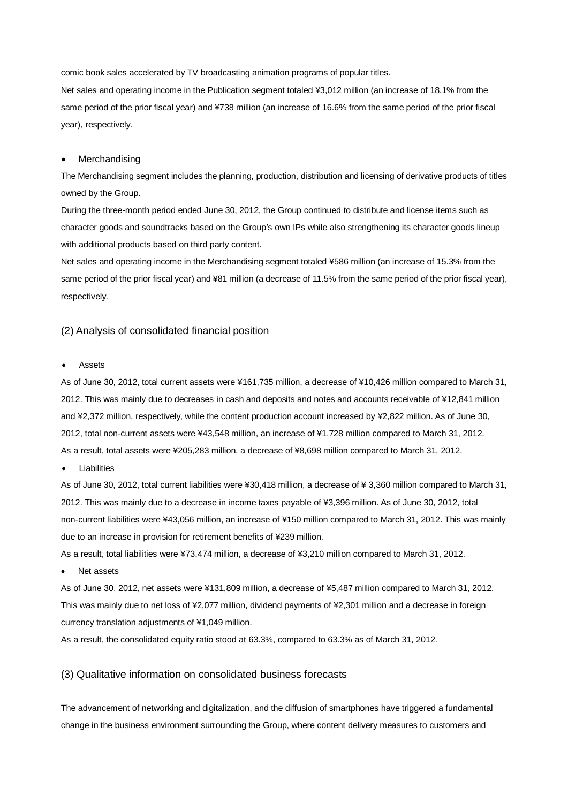comic book sales accelerated by TV broadcasting animation programs of popular titles.

Net sales and operating income in the Publication segment totaled ¥3,012 million (an increase of 18.1% from the same period of the prior fiscal year) and ¥738 million (an increase of 16.6% from the same period of the prior fiscal year), respectively.

#### Merchandising

The Merchandising segment includes the planning, production, distribution and licensing of derivative products of titles owned by the Group.

During the three-month period ended June 30, 2012, the Group continued to distribute and license items such as character goods and soundtracks based on the Group's own IPs while also strengthening its character goods lineup with additional products based on third party content.

Net sales and operating income in the Merchandising segment totaled ¥586 million (an increase of 15.3% from the same period of the prior fiscal year) and ¥81 million (a decrease of 11.5% from the same period of the prior fiscal year), respectively.

#### (2) Analysis of consolidated financial position

#### Assets

As of June 30, 2012, total current assets were ¥161,735 million, a decrease of ¥10,426 million compared to March 31, 2012. This was mainly due to decreases in cash and deposits and notes and accounts receivable of ¥12,841 million and ¥2,372 million, respectively, while the content production account increased by ¥2,822 million. As of June 30, 2012, total non-current assets were ¥43,548 million, an increase of ¥1,728 million compared to March 31, 2012. As a result, total assets were ¥205,283 million, a decrease of ¥8,698 million compared to March 31, 2012.

Liabilities

As of June 30, 2012, total current liabilities were ¥30,418 million, a decrease of ¥ 3,360 million compared to March 31, 2012. This was mainly due to a decrease in income taxes payable of ¥3,396 million. As of June 30, 2012, total non-current liabilities were ¥43,056 million, an increase of ¥150 million compared to March 31, 2012. This was mainly due to an increase in provision for retirement benefits of ¥239 million.

As a result, total liabilities were ¥73,474 million, a decrease of ¥3,210 million compared to March 31, 2012.

Net assets

As of June 30, 2012, net assets were ¥131,809 million, a decrease of ¥5,487 million compared to March 31, 2012. This was mainly due to net loss of ¥2,077 million, dividend payments of ¥2,301 million and a decrease in foreign currency translation adjustments of ¥1,049 million.

As a result, the consolidated equity ratio stood at 63.3%, compared to 63.3% as of March 31, 2012.

#### (3) Qualitative information on consolidated business forecasts

The advancement of networking and digitalization, and the diffusion of smartphones have triggered a fundamental change in the business environment surrounding the Group, where content delivery measures to customers and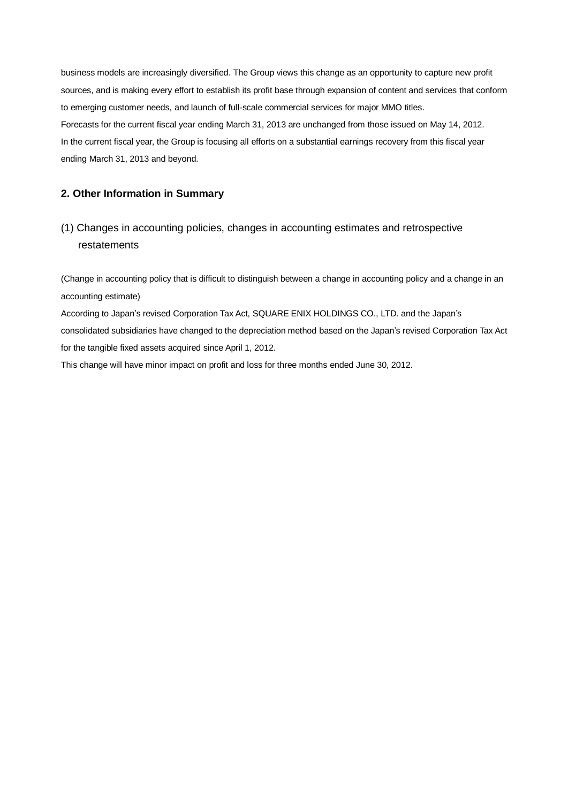business models are increasingly diversified. The Group views this change as an opportunity to capture new profit sources, and is making every effort to establish its profit base through expansion of content and services that conform to emerging customer needs, and launch of full-scale commercial services for major MMO titles. Forecasts for the current fiscal year ending March 31, 2013 are unchanged from those issued on May 14, 2012. In the current fiscal year, the Group is focusing all efforts on a substantial earnings recovery from this fiscal year ending March 31, 2013 and beyond.

## **2. Other Information in Summary**

## (1) Changes in accounting policies, changes in accounting estimates and retrospective restatements

(Change in accounting policy that is difficult to distinguish between a change in accounting policy and a change in an accounting estimate)

According to Japan's revised Corporation Tax Act, SQUARE ENIX HOLDINGS CO., LTD. and the Japan's consolidated subsidiaries have changed to the depreciation method based on the Japan's revised Corporation Tax Act for the tangible fixed assets acquired since April 1, 2012.

This change will have minor impact on profit and loss for three months ended June 30, 2012.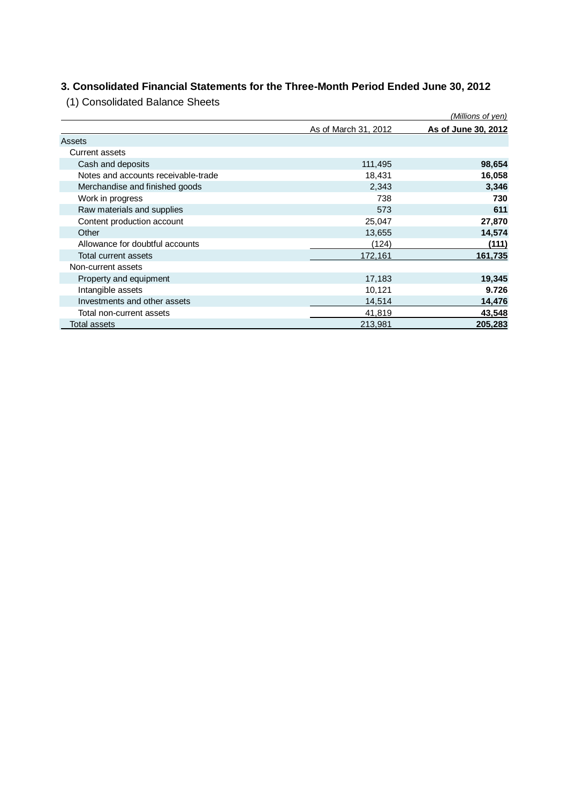# **3. Consolidated Financial Statements for the Three-Month Period Ended June 30, 2012**

(1) Consolidated Balance Sheets

|                                     |                      | (Millions of yen)   |
|-------------------------------------|----------------------|---------------------|
|                                     | As of March 31, 2012 | As of June 30, 2012 |
| Assets                              |                      |                     |
| Current assets                      |                      |                     |
| Cash and deposits                   | 111,495              | 98,654              |
| Notes and accounts receivable-trade | 18,431               | 16,058              |
| Merchandise and finished goods      | 2,343                | 3,346               |
| Work in progress                    | 738                  | 730                 |
| Raw materials and supplies          | 573                  | 611                 |
| Content production account          | 25,047               | 27,870              |
| Other                               | 13,655               | 14,574              |
| Allowance for doubtful accounts     | (124)                | (111)               |
| Total current assets                | 172,161              | 161,735             |
| Non-current assets                  |                      |                     |
| Property and equipment              | 17,183               | 19,345              |
| Intangible assets                   | 10,121               | 9.726               |
| Investments and other assets        | 14,514               | 14,476              |
| Total non-current assets            | 41,819               | 43,548              |
| <b>Total assets</b>                 | 213,981              | 205,283             |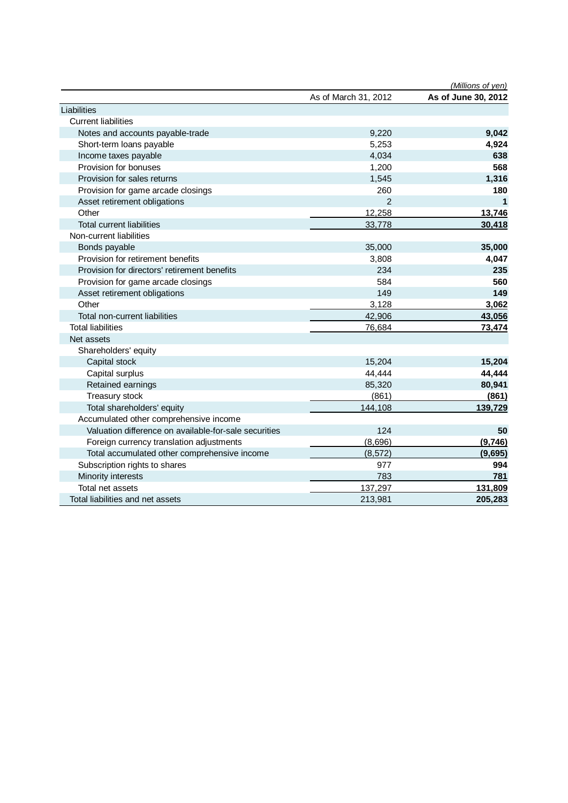|                                                       |                      | (Millions of yen)   |
|-------------------------------------------------------|----------------------|---------------------|
|                                                       | As of March 31, 2012 | As of June 30, 2012 |
| Liabilities                                           |                      |                     |
| <b>Current liabilities</b>                            |                      |                     |
| Notes and accounts payable-trade                      | 9,220                | 9,042               |
| Short-term loans payable                              | 5,253                | 4,924               |
| Income taxes payable                                  | 4,034                | 638                 |
| Provision for bonuses                                 | 1,200                | 568                 |
| Provision for sales returns                           | 1,545                | 1,316               |
| Provision for game arcade closings                    | 260                  | 180                 |
| Asset retirement obligations                          | $\mathfrak{p}$       | 1                   |
| Other                                                 | 12,258               | 13,746              |
| <b>Total current liabilities</b>                      | 33,778               | 30,418              |
| Non-current liabilities                               |                      |                     |
| Bonds payable                                         | 35,000               | 35,000              |
| Provision for retirement benefits                     | 3,808                | 4,047               |
| Provision for directors' retirement benefits          | 234                  | 235                 |
| Provision for game arcade closings                    | 584                  | 560                 |
| Asset retirement obligations                          | 149                  | 149                 |
| Other                                                 | 3.128                | 3,062               |
| Total non-current liabilities                         | 42,906               | 43,056              |
| <b>Total liabilities</b>                              | 76,684               | 73,474              |
| Net assets                                            |                      |                     |
| Shareholders' equity                                  |                      |                     |
| Capital stock                                         | 15,204               | 15,204              |
| Capital surplus                                       | 44,444               | 44,444              |
| Retained earnings                                     | 85,320               | 80,941              |
| Treasury stock                                        | (861)                | (861)               |
| Total shareholders' equity                            | 144,108              | 139,729             |
| Accumulated other comprehensive income                |                      |                     |
| Valuation difference on available-for-sale securities | 124                  | 50                  |
| Foreign currency translation adjustments              | (8,696)              | (9,746)             |
| Total accumulated other comprehensive income          | (8, 572)             | (9,695)             |
| Subscription rights to shares                         | 977                  | 994                 |
| Minority interests                                    | 783                  | 781                 |
| Total net assets                                      | 137,297              | 131,809             |
| Total liabilities and net assets                      | 213,981              | 205,283             |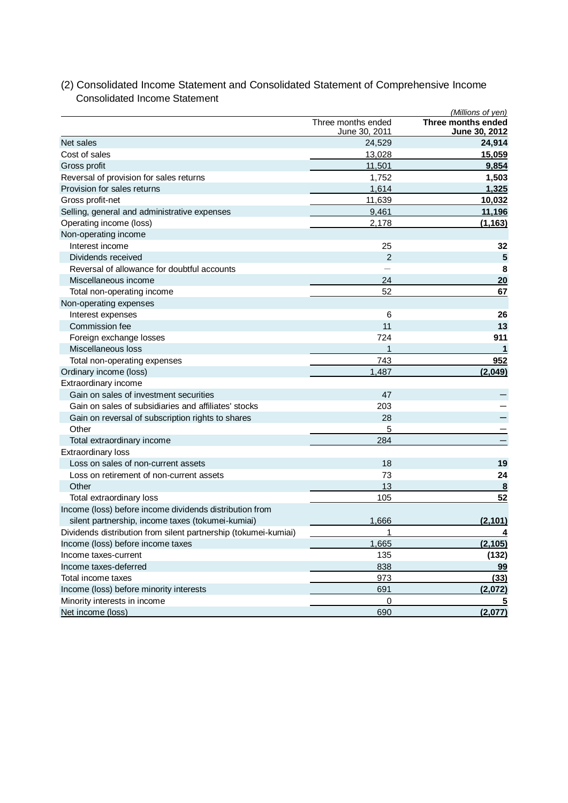|                                                                 |                                     | (Millions of yen)                   |
|-----------------------------------------------------------------|-------------------------------------|-------------------------------------|
|                                                                 | Three months ended<br>June 30, 2011 | Three months ended<br>June 30, 2012 |
| Net sales                                                       | 24,529                              | 24,914                              |
| Cost of sales                                                   | 13,028                              | 15,059                              |
| Gross profit                                                    | 11,501                              | 9,854                               |
| Reversal of provision for sales returns                         | 1,752                               | 1,503                               |
| Provision for sales returns                                     | 1,614                               | 1,325                               |
| Gross profit-net                                                | 11,639                              | 10,032                              |
| Selling, general and administrative expenses                    | 9.461                               | 11,196                              |
| Operating income (loss)                                         | 2,178                               | (1, 163)                            |
| Non-operating income                                            |                                     |                                     |
| Interest income                                                 | 25                                  | 32                                  |
| Dividends received                                              | $\overline{2}$                      | 5                                   |
| Reversal of allowance for doubtful accounts                     |                                     | 8                                   |
| Miscellaneous income                                            | 24                                  | 20                                  |
| Total non-operating income                                      | 52                                  | 67                                  |
| Non-operating expenses                                          |                                     |                                     |
| Interest expenses                                               | 6                                   | 26                                  |
| Commission fee                                                  | 11                                  | 13                                  |
| Foreign exchange losses                                         | 724                                 | 911                                 |
| Miscellaneous loss                                              | 1                                   | 1                                   |
| Total non-operating expenses                                    | 743                                 | 952                                 |
| Ordinary income (loss)                                          | 1,487                               | (2,049)                             |
| Extraordinary income                                            |                                     |                                     |
| Gain on sales of investment securities                          | 47                                  |                                     |
| Gain on sales of subsidiaries and affiliates' stocks            | 203                                 |                                     |
| Gain on reversal of subscription rights to shares               | 28                                  |                                     |
| Other                                                           | 5                                   |                                     |
| Total extraordinary income                                      | 284                                 |                                     |
| Extraordinary loss                                              |                                     |                                     |
| Loss on sales of non-current assets                             | 18                                  | 19                                  |
| Loss on retirement of non-current assets                        | 73                                  | 24                                  |
| Other                                                           | 13                                  | 8                                   |
| Total extraordinary loss                                        | 105                                 | 52                                  |
| Income (loss) before income dividends distribution from         |                                     |                                     |
| silent partnership, income taxes (tokumei-kumiai)               | 1,666                               | (2, 101)                            |
| Dividends distribution from silent partnership (tokumei-kumiai) | 1                                   | 4                                   |
| Income (loss) before income taxes                               | 1,665                               | (2, 105)                            |
| Income taxes-current                                            | 135                                 | (132)                               |
| Income taxes-deferred                                           | 838                                 | 99                                  |
| Total income taxes                                              | 973                                 | (33)                                |
| Income (loss) before minority interests                         | 691                                 | (2,072)                             |
| Minority interests in income                                    | 0                                   |                                     |
| Net income (loss)                                               | 690                                 | (2,077)                             |

## (2) Consolidated Income Statement and Consolidated Statement of Comprehensive Income Consolidated Income Statement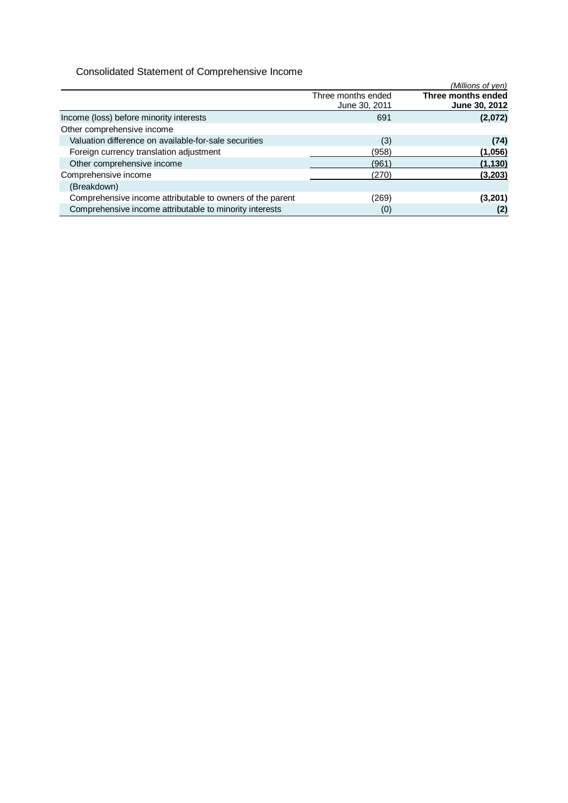## Consolidated Statement of Comprehensive Income

|                                                           |                                     | (Millions of yen)                   |
|-----------------------------------------------------------|-------------------------------------|-------------------------------------|
|                                                           | Three months ended<br>June 30, 2011 | Three months ended<br>June 30, 2012 |
| Income (loss) before minority interests                   | 691                                 | (2,072)                             |
| Other comprehensive income                                |                                     |                                     |
| Valuation difference on available-for-sale securities     | (3)                                 | (74)                                |
| Foreign currency translation adjustment                   | (958)                               | (1,056)                             |
| Other comprehensive income                                | (961)                               | (1, 130)                            |
| Comprehensive income                                      | (270)                               | (3, 203)                            |
| (Breakdown)                                               |                                     |                                     |
| Comprehensive income attributable to owners of the parent | (269)                               | (3,201)                             |
| Comprehensive income attributable to minority interests   | (0)                                 | (2)                                 |